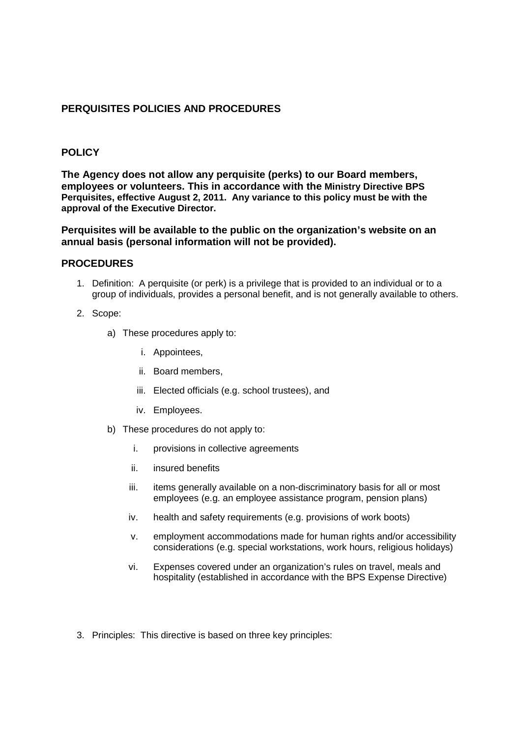## **PERQUISITES POLICIES AND PROCEDURES**

## **POLICY**

**The Agency does not allow any perquisite (perks) to our Board members, employees or volunteers. This in accordance with the Ministry Directive BPS Perquisites, effective August 2, 2011. Any variance to this policy must be with the approval of the Executive Director.**

## **Perquisites will be available to the public on the organization's website on an annual basis (personal information will not be provided).**

## **PROCEDURES**

- 1. Definition: A perquisite (or perk) is a privilege that is provided to an individual or to a group of individuals, provides a personal benefit, and is not generally available to others.
- 2. Scope:
	- a) These procedures apply to:
		- i. Appointees,
		- ii. Board members,
		- iii. Elected officials (e.g. school trustees), and
		- iv. Employees.
	- b) These procedures do not apply to:
		- i. provisions in collective agreements
		- ii. insured benefits
		- iii. items generally available on a non-discriminatory basis for all or most employees (e.g. an employee assistance program, pension plans)
		- iv. health and safety requirements (e.g. provisions of work boots)
		- v. employment accommodations made for human rights and/or accessibility considerations (e.g. special workstations, work hours, religious holidays)
		- vi. Expenses covered under an organization's rules on travel, meals and hospitality (established in accordance with the BPS Expense Directive)
- 3. Principles: This directive is based on three key principles: